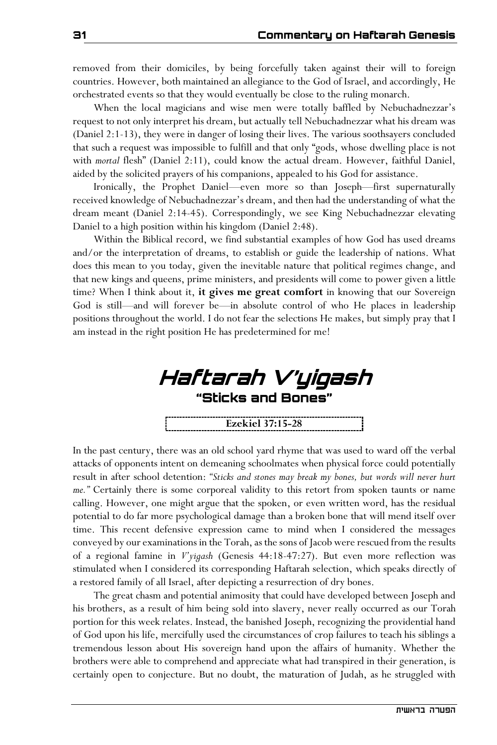removed from their domiciles, by being forcefully taken against their will to foreign countries. However, both maintained an allegiance to the God of Israel, and accordingly, He orchestrated events so that they would eventually be close to the ruling monarch.

When the local magicians and wise men were totally baffled by Nebuchadnezzar's request to not only interpret his dream, but actually tell Nebuchadnezzar what his dream was (Daniel 2:1-13), they were in danger of losing their lives. The various soothsayers concluded that such a request was impossible to fulfill and that only "gods, whose dwelling place is not with *mortal* flesh" (Daniel 2:11), could know the actual dream. However, faithful Daniel, aided by the solicited prayers of his companions, appealed to his God for assistance.

Ironically, the Prophet Daniel—even more so than Joseph—first supernaturally received knowledge of Nebuchadnezzar's dream, and then had the understanding of what the dream meant (Daniel 2:14-45). Correspondingly, we see King Nebuchadnezzar elevating Daniel to a high position within his kingdom (Daniel 2:48).

Within the Biblical record, we find substantial examples of how God has used dreams and/or the interpretation of dreams, to establish or guide the leadership of nations. What does this mean to you today, given the inevitable nature that political regimes change, and that new kings and queens, prime ministers, and presidents will come to power given a little time? When I think about it, **it gives me great comfort** in knowing that our Sovereign God is still—and will forever be—in absolute control of who He places in leadership positions throughout the world. I do not fear the selections He makes, but simply pray that I am instead in the right position He has predetermined for me!



In the past century, there was an old school yard rhyme that was used to ward off the verbal attacks of opponents intent on demeaning schoolmates when physical force could potentially result in after school detention: *"Sticks and stones may break my bones, but words will never hurt me."* Certainly there is some corporeal validity to this retort from spoken taunts or name calling. However, one might argue that the spoken, or even written word, has the residual potential to do far more psychological damage than a broken bone that will mend itself over time. This recent defensive expression came to mind when I considered the messages conveyed by our examinations in the Torah, as the sons of Jacob were rescued from the results of a regional famine in *V'yigash* (Genesis 44:18-47:27). But even more reflection was stimulated when I considered its corresponding Haftarah selection, which speaks directly of a restored family of all Israel, after depicting a resurrection of dry bones.

The great chasm and potential animosity that could have developed between Joseph and his brothers, as a result of him being sold into slavery, never really occurred as our Torah portion for this week relates. Instead, the banished Joseph, recognizing the providential hand of God upon his life, mercifully used the circumstances of crop failures to teach his siblings a tremendous lesson about His sovereign hand upon the affairs of humanity. Whether the brothers were able to comprehend and appreciate what had transpired in their generation, is certainly open to conjecture. But no doubt, the maturation of Judah, as he struggled with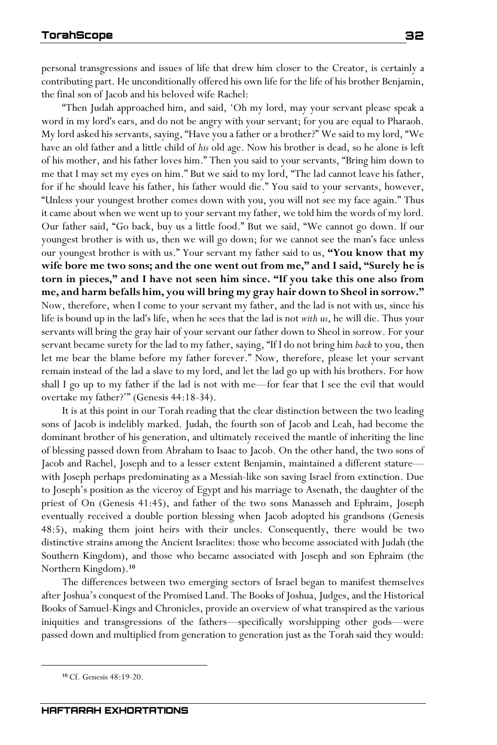personal transgressions and issues of life that drew him closer to the Creator, is certainly a contributing part. He unconditionally offered his own life for the life of his brother Benjamin, the final son of Jacob and his beloved wife Rachel:

"Then Judah approached him, and said, 'Oh my lord, may your servant please speak a word in my lord's ears, and do not be angry with your servant; for you are equal to Pharaoh. My lord asked his servants, saying, "Have you a father or a brother?" We said to my lord, "We have an old father and a little child of *his* old age. Now his brother is dead, so he alone is left of his mother, and his father loves him." Then you said to your servants, "Bring him down to me that I may set my eyes on him." But we said to my lord, "The lad cannot leave his father, for if he should leave his father, his father would die." You said to your servants, however, "Unless your youngest brother comes down with you, you will not see my face again." Thus it came about when we went up to your servant my father, we told him the words of my lord. Our father said, "Go back, buy us a little food." But we said, "We cannot go down. If our youngest brother is with us, then we will go down; for we cannot see the man's face unless our youngest brother is with us." Your servant my father said to us, **"You know that my wife bore me two sons; and the one went out from me," and I said, "Surely he is torn in pieces," and I have not seen him since. "If you take this one also from me, and harm befalls him, you will bring my gray hair down to Sheol in sorrow."** Now, therefore, when I come to your servant my father, and the lad is not with us, since his life is bound up in the lad's life, when he sees that the lad is not *with us*, he will die. Thus your servants will bring the gray hair of your servant our father down to Sheol in sorrow. For your servant became surety for the lad to my father, saying, "If I do not bring him *back* to you, then let me bear the blame before my father forever." Now, therefore, please let your servant remain instead of the lad a slave to my lord, and let the lad go up with his brothers. For how shall I go up to my father if the lad is not with me—for fear that I see the evil that would overtake my father?'" (Genesis 44:18-34).

It is at this point in our Torah reading that the clear distinction between the two leading sons of Jacob is indelibly marked. Judah, the fourth son of Jacob and Leah, had become the dominant brother of his generation, and ultimately received the mantle of inheriting the line of blessing passed down from Abraham to Isaac to Jacob. On the other hand, the two sons of Jacob and Rachel, Joseph and to a lesser extent Benjamin, maintained a different stature with Joseph perhaps predominating as a Messiah-like son saving Israel from extinction. Due to Joseph's position as the viceroy of Egypt and his marriage to Asenath, the daughter of the priest of On (Genesis 41:45), and father of the two sons Manasseh and Ephraim, Joseph eventually received a double portion blessing when Jacob adopted his grandsons (Genesis 48:5), making them joint heirs with their uncles. Consequently, there would be two distinctive strains among the Ancient Israelites: those who become associated with Judah (the Southern Kingdom), and those who became associated with Joseph and son Ephraim (the Northern Kingdom).**<sup>10</sup>**

The differences between two emerging sectors of Israel began to manifest themselves after Joshua's conquest of the Promised Land. The Books of Joshua, Judges, and the Historical Books of Samuel-Kings and Chronicles, provide an overview of what transpired as the various iniquities and transgressions of the fathers—specifically worshipping other gods—were passed down and multiplied from generation to generation just as the Torah said they would:

**<sup>10</sup>** Cf. Genesis 48:19-20.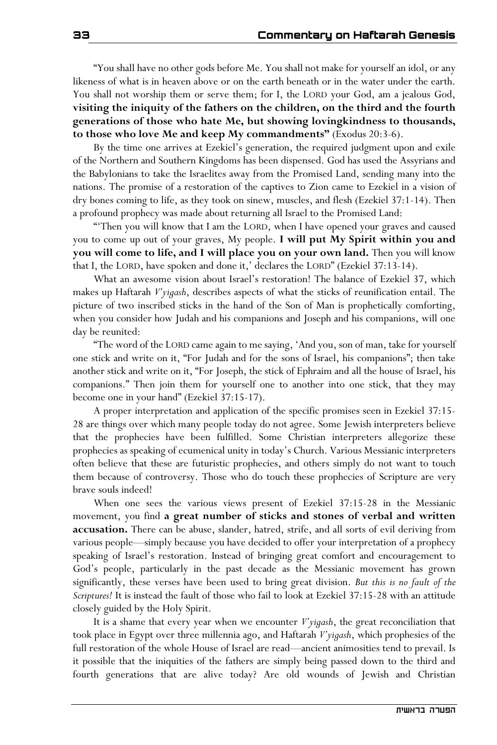"You shall have no other gods before Me. You shall not make for yourself an idol, or any likeness of what is in heaven above or on the earth beneath or in the water under the earth. You shall not worship them or serve them; for I, the LORD your God, am a jealous God, **visiting the iniquity of the fathers on the children, on the third and the fourth generations of those who hate Me, but showing lovingkindness to thousands, to those who love Me and keep My commandments"** (Exodus 20:3-6).

By the time one arrives at Ezekiel's generation, the required judgment upon and exile of the Northern and Southern Kingdoms has been dispensed. God has used the Assyrians and the Babylonians to take the Israelites away from the Promised Land, sending many into the nations. The promise of a restoration of the captives to Zion came to Ezekiel in a vision of dry bones coming to life, as they took on sinew, muscles, and flesh (Ezekiel 37:1-14). Then a profound prophecy was made about returning all Israel to the Promised Land:

"'Then you will know that I am the LORD, when I have opened your graves and caused you to come up out of your graves, My people. **I will put My Spirit within you and you will come to life, and I will place you on your own land.** Then you will know that I, the LORD, have spoken and done it,' declares the LORD" (Ezekiel 37:13-14).

What an awesome vision about Israel's restoration! The balance of Ezekiel 37, which makes up Haftarah *V'yigash*, describes aspects of what the sticks of reunification entail. The picture of two inscribed sticks in the hand of the Son of Man is prophetically comforting, when you consider how Judah and his companions and Joseph and his companions, will one day be reunited:

"The word of the LORD came again to me saying, 'And you, son of man, take for yourself one stick and write on it, "For Judah and for the sons of Israel, his companions"; then take another stick and write on it, "For Joseph, the stick of Ephraim and all the house of Israel, his companions." Then join them for yourself one to another into one stick, that they may become one in your hand" (Ezekiel 37:15-17).

A proper interpretation and application of the specific promises seen in Ezekiel 37:15- 28 are things over which many people today do not agree. Some Jewish interpreters believe that the prophecies have been fulfilled. Some Christian interpreters allegorize these prophecies as speaking of ecumenical unity in today's Church. Various Messianic interpreters often believe that these are futuristic prophecies, and others simply do not want to touch them because of controversy. Those who do touch these prophecies of Scripture are very brave souls indeed!

When one sees the various views present of Ezekiel 37:15-28 in the Messianic movement, you find **a great number of sticks and stones of verbal and written accusation.** There can be abuse, slander, hatred, strife, and all sorts of evil deriving from various people—simply because you have decided to offer your interpretation of a prophecy speaking of Israel's restoration. Instead of bringing great comfort and encouragement to God's people, particularly in the past decade as the Messianic movement has grown significantly, these verses have been used to bring great division. *But this is no fault of the Scriptures!* It is instead the fault of those who fail to look at Ezekiel 37:15-28 with an attitude closely guided by the Holy Spirit.

It is a shame that every year when we encounter *V'yigash*, the great reconciliation that took place in Egypt over three millennia ago, and Haftarah *V'yigash*, which prophesies of the full restoration of the whole House of Israel are read—ancient animosities tend to prevail. Is it possible that the iniquities of the fathers are simply being passed down to the third and fourth generations that are alive today? Are old wounds of Jewish and Christian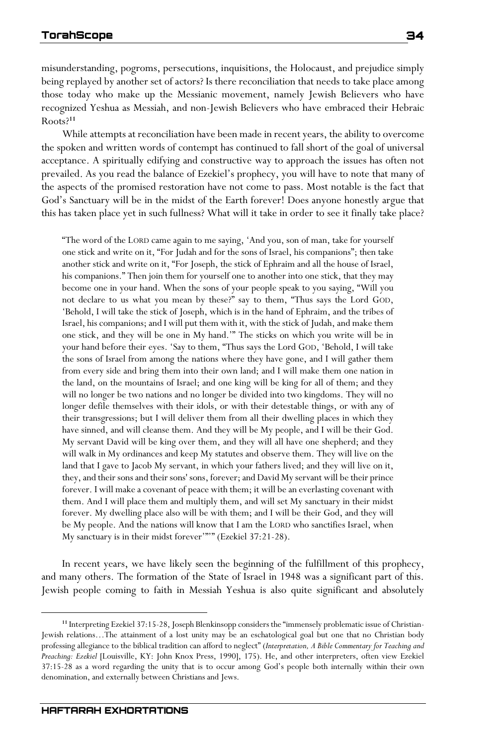misunderstanding, pogroms, persecutions, inquisitions, the Holocaust, and prejudice simply being replayed by another set of actors? Is there reconciliation that needs to take place among those today who make up the Messianic movement, namely Jewish Believers who have recognized Yeshua as Messiah, and non-Jewish Believers who have embraced their Hebraic Roots?**<sup>11</sup>**

While attempts at reconciliation have been made in recent years, the ability to overcome the spoken and written words of contempt has continued to fall short of the goal of universal acceptance. A spiritually edifying and constructive way to approach the issues has often not prevailed. As you read the balance of Ezekiel's prophecy, you will have to note that many of the aspects of the promised restoration have not come to pass. Most notable is the fact that God's Sanctuary will be in the midst of the Earth forever! Does anyone honestly argue that this has taken place yet in such fullness? What will it take in order to see it finally take place?

"The word of the LORD came again to me saying, 'And you, son of man, take for yourself one stick and write on it, "For Judah and for the sons of Israel, his companions"; then take another stick and write on it, "For Joseph, the stick of Ephraim and all the house of Israel, his companions." Then join them for yourself one to another into one stick, that they may become one in your hand. When the sons of your people speak to you saying, "Will you not declare to us what you mean by these?" say to them, "Thus says the Lord GOD, 'Behold, I will take the stick of Joseph, which is in the hand of Ephraim, and the tribes of Israel, his companions; and I will put them with it, with the stick of Judah, and make them one stick, and they will be one in My hand.'" The sticks on which you write will be in your hand before their eyes. 'Say to them, "Thus says the Lord GOD, 'Behold, I will take the sons of Israel from among the nations where they have gone, and I will gather them from every side and bring them into their own land; and I will make them one nation in the land, on the mountains of Israel; and one king will be king for all of them; and they will no longer be two nations and no longer be divided into two kingdoms. They will no longer defile themselves with their idols, or with their detestable things, or with any of their transgressions; but I will deliver them from all their dwelling places in which they have sinned, and will cleanse them. And they will be My people, and I will be their God. My servant David will be king over them, and they will all have one shepherd; and they will walk in My ordinances and keep My statutes and observe them. They will live on the land that I gave to Jacob My servant, in which your fathers lived; and they will live on it, they, and their sons and their sons' sons, forever; and David My servant will be their prince forever. I will make a covenant of peace with them; it will be an everlasting covenant with them. And I will place them and multiply them, and will set My sanctuary in their midst forever. My dwelling place also will be with them; and I will be their God, and they will be My people. And the nations will know that I am the LORD who sanctifies Israel, when My sanctuary is in their midst forever'"'" (Ezekiel 37:21-28).

In recent years, we have likely seen the beginning of the fulfillment of this prophecy, and many others. The formation of the State of Israel in 1948 was a significant part of this. Jewish people coming to faith in Messiah Yeshua is also quite significant and absolutely

**<sup>11</sup>** Interpreting Ezekiel 37:15-28, Joseph Blenkinsopp considers the "immensely problematic issue of Christian-Jewish relations…The attainment of a lost unity may be an eschatological goal but one that no Christian body professing allegiance to the biblical tradition can afford to neglect" (*Interpretation, A Bible Commentary for Teaching and Preaching: Ezekiel* [Louisville, KY: John Knox Press, 1990], 175). He, and other interpreters, often view Ezekiel 37:15-28 as a word regarding the unity that is to occur among God's people both internally within their own denomination, and externally between Christians and Jews.